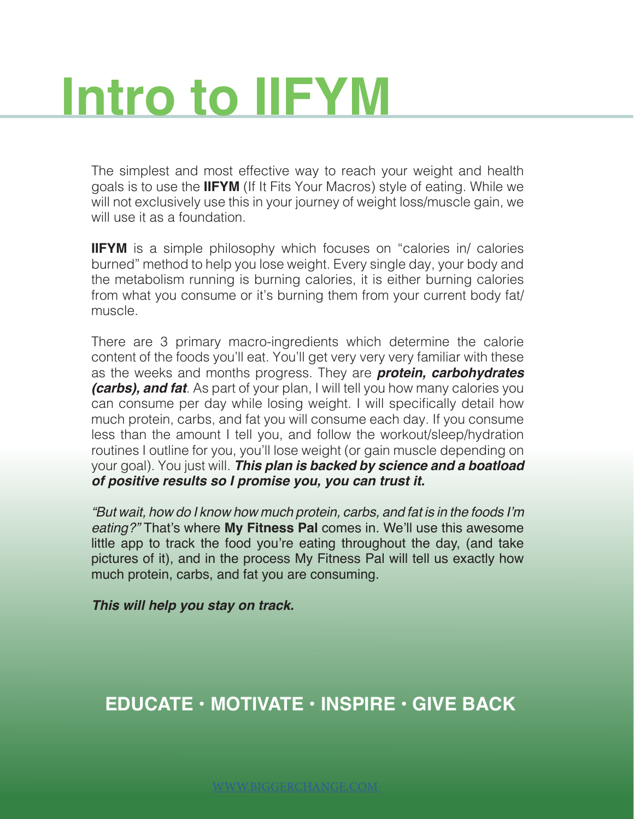## **Intro to IIFYM**

The simplest and most effective way to reach your weight and health goals is to use the **IIFYM** (If It Fits Your Macros) style of eating. While we will not exclusively use this in your journey of weight loss/muscle gain, we will use it as a foundation.

**IIFYM** is a simple philosophy which focuses on "calories in/ calories burned" method to help you lose weight. Every single day, your body and the metabolism running is burning calories, it is either burning calories from what you consume or it's burning them from your current body fat/ muscle.

There are 3 primary macro-ingredients which determine the calorie content of the foods you'll eat. You'll get very very very familiar with these as the weeks and months progress. They are *protein, carbohydrates (carbs), and fat*. As part of your plan, I will tell you how many calories you can consume per day while losing weight. I will specifically detail how much protein, carbs, and fat you will consume each day. If you consume less than the amount I tell you, and follow the workout/sleep/hydration routines I outline for you, you'll lose weight (or gain muscle depending on your goal). You just will. *This plan is backed by science and a boatload of positive results so I promise you, you can trust it.* 

"But wait, how do I know how much protein, carbs, and fat is in the foods I'm *eating?"* That's where **My Fitness Pal** comes in. We'll use this awesome little app to track the food you're eating throughout the day, (and take pictures of it), and in the process My Fitness Pal will tell us exactly how much protein, carbs, and fat you are consuming.

*This will help you stay on track.*

## **EDUCATE • MOTIVATE • INSPIRE • GIVE BACK**